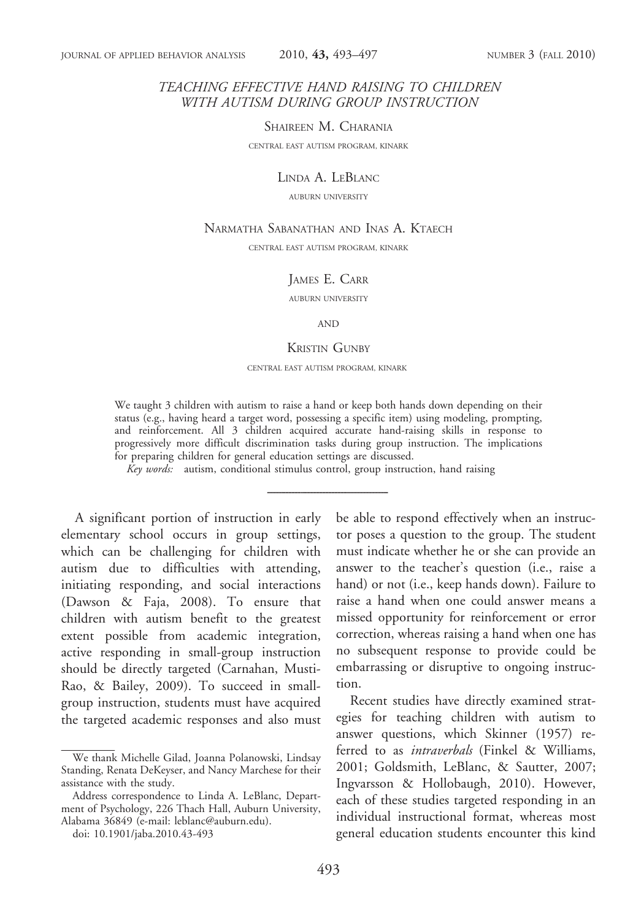# TEACHING EFFECTIVE HAND RAISING TO CHILDREN WITH AUTISM DURING GROUP INSTRUCTION

SHAIREEN M. CHARANIA

CENTRAL EAST AUTISM PROGRAM, KINARK

#### LINDA A. LEBLANC

AUBURN UNIVERSITY

### NARMATHA SABANATHAN AND INAS A. KTAECH

CENTRAL EAST AUTISM PROGRAM, KINARK

#### JAMES E. CARR

AUBURN UNIVERSITY

#### AND

#### KRISTIN GUNBY

CENTRAL EAST AUTISM PROGRAM, KINARK

We taught 3 children with autism to raise a hand or keep both hands down depending on their status (e.g., having heard a target word, possessing a specific item) using modeling, prompting, and reinforcement. All 3 children acquired accurate hand-raising skills in response to progressively more difficult discrimination tasks during group instruction. The implications for preparing children for general education settings are discussed.

Key words: autism, conditional stimulus control, group instruction, hand raising

A significant portion of instruction in early elementary school occurs in group settings, which can be challenging for children with autism due to difficulties with attending, initiating responding, and social interactions (Dawson & Faja, 2008). To ensure that children with autism benefit to the greatest extent possible from academic integration, active responding in small-group instruction should be directly targeted (Carnahan, Musti-Rao, & Bailey, 2009). To succeed in smallgroup instruction, students must have acquired the targeted academic responses and also must

doi: 10.1901/jaba.2010.43-493

be able to respond effectively when an instructor poses a question to the group. The student must indicate whether he or she can provide an answer to the teacher's question (i.e., raise a hand) or not (i.e., keep hands down). Failure to raise a hand when one could answer means a missed opportunity for reinforcement or error correction, whereas raising a hand when one has no subsequent response to provide could be embarrassing or disruptive to ongoing instruction.

Recent studies have directly examined strategies for teaching children with autism to answer questions, which Skinner (1957) referred to as *intraverbals* (Finkel & Williams, 2001; Goldsmith, LeBlanc, & Sautter, 2007; Ingvarsson & Hollobaugh, 2010). However, each of these studies targeted responding in an individual instructional format, whereas most general education students encounter this kind

We thank Michelle Gilad, Joanna Polanowski, Lindsay Standing, Renata DeKeyser, and Nancy Marchese for their assistance with the study.

Address correspondence to Linda A. LeBlanc, Department of Psychology, 226 Thach Hall, Auburn University, Alabama 36849 (e-mail: leblanc@auburn.edu).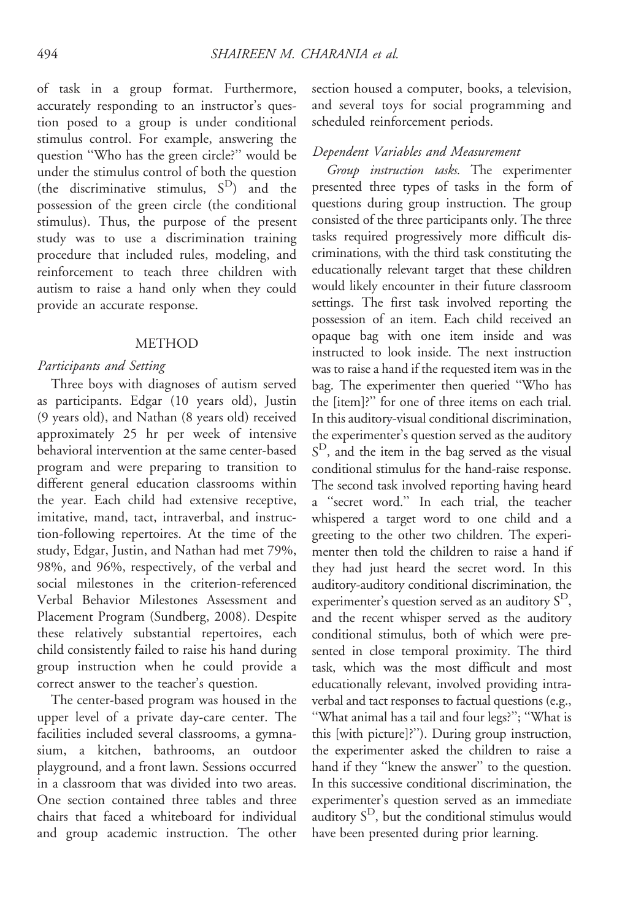of task in a group format. Furthermore, accurately responding to an instructor's question posed to a group is under conditional stimulus control. For example, answering the question ''Who has the green circle?'' would be under the stimulus control of both the question (the discriminative stimulus,  $S<sup>D</sup>$ ) and the possession of the green circle (the conditional stimulus). Thus, the purpose of the present study was to use a discrimination training procedure that included rules, modeling, and reinforcement to teach three children with autism to raise a hand only when they could provide an accurate response.

### METHOD

#### Participants and Setting

Three boys with diagnoses of autism served as participants. Edgar (10 years old), Justin (9 years old), and Nathan (8 years old) received approximately 25 hr per week of intensive behavioral intervention at the same center-based program and were preparing to transition to different general education classrooms within the year. Each child had extensive receptive, imitative, mand, tact, intraverbal, and instruction-following repertoires. At the time of the study, Edgar, Justin, and Nathan had met 79%, 98%, and 96%, respectively, of the verbal and social milestones in the criterion-referenced Verbal Behavior Milestones Assessment and Placement Program (Sundberg, 2008). Despite these relatively substantial repertoires, each child consistently failed to raise his hand during group instruction when he could provide a correct answer to the teacher's question.

The center-based program was housed in the upper level of a private day-care center. The facilities included several classrooms, a gymnasium, a kitchen, bathrooms, an outdoor playground, and a front lawn. Sessions occurred in a classroom that was divided into two areas. One section contained three tables and three chairs that faced a whiteboard for individual and group academic instruction. The other section housed a computer, books, a television, and several toys for social programming and scheduled reinforcement periods.

### Dependent Variables and Measurement

Group instruction tasks. The experimenter presented three types of tasks in the form of questions during group instruction. The group consisted of the three participants only. The three tasks required progressively more difficult discriminations, with the third task constituting the educationally relevant target that these children would likely encounter in their future classroom settings. The first task involved reporting the possession of an item. Each child received an opaque bag with one item inside and was instructed to look inside. The next instruction was to raise a hand if the requested item was in the bag. The experimenter then queried ''Who has the [item]?'' for one of three items on each trial. In this auditory-visual conditional discrimination, the experimenter's question served as the auditory  $S<sup>D</sup>$ , and the item in the bag served as the visual conditional stimulus for the hand-raise response. The second task involved reporting having heard a ''secret word.'' In each trial, the teacher whispered a target word to one child and a greeting to the other two children. The experimenter then told the children to raise a hand if they had just heard the secret word. In this auditory-auditory conditional discrimination, the experimenter's question served as an auditory  $S^D$ , and the recent whisper served as the auditory conditional stimulus, both of which were presented in close temporal proximity. The third task, which was the most difficult and most educationally relevant, involved providing intraverbal and tact responses to factual questions (e.g., ''What animal has a tail and four legs?''; ''What is this [with picture]?''). During group instruction, the experimenter asked the children to raise a hand if they ''knew the answer'' to the question. In this successive conditional discrimination, the experimenter's question served as an immediate auditory  $S<sup>D</sup>$ , but the conditional stimulus would have been presented during prior learning.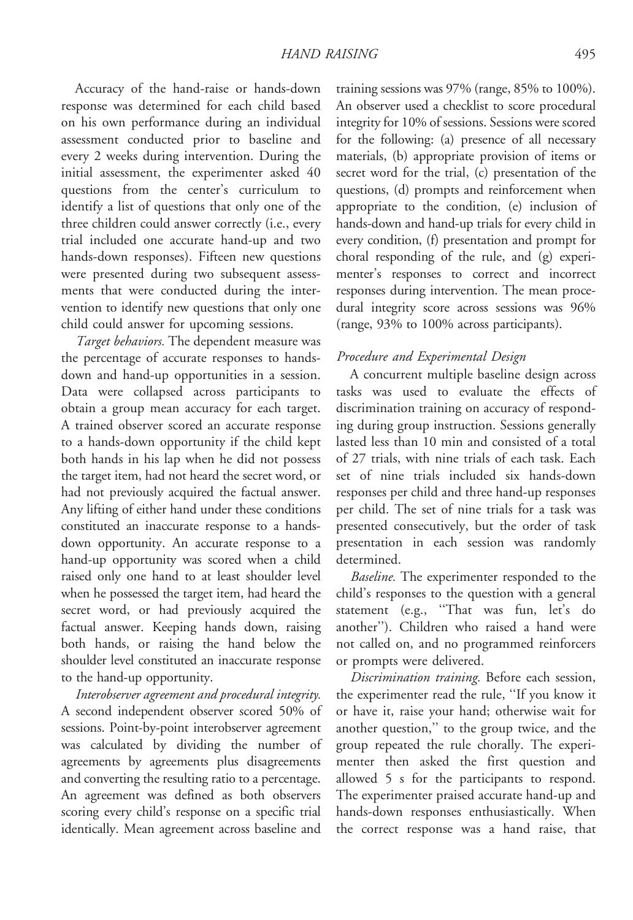Accuracy of the hand-raise or hands-down response was determined for each child based on his own performance during an individual assessment conducted prior to baseline and every 2 weeks during intervention. During the initial assessment, the experimenter asked 40 questions from the center's curriculum to identify a list of questions that only one of the three children could answer correctly (i.e., every trial included one accurate hand-up and two hands-down responses). Fifteen new questions were presented during two subsequent assessments that were conducted during the intervention to identify new questions that only one child could answer for upcoming sessions.

Target behaviors. The dependent measure was the percentage of accurate responses to handsdown and hand-up opportunities in a session. Data were collapsed across participants to obtain a group mean accuracy for each target. A trained observer scored an accurate response to a hands-down opportunity if the child kept both hands in his lap when he did not possess the target item, had not heard the secret word, or had not previously acquired the factual answer. Any lifting of either hand under these conditions constituted an inaccurate response to a handsdown opportunity. An accurate response to a hand-up opportunity was scored when a child raised only one hand to at least shoulder level when he possessed the target item, had heard the secret word, or had previously acquired the factual answer. Keeping hands down, raising both hands, or raising the hand below the shoulder level constituted an inaccurate response to the hand-up opportunity.

Interobserver agreement and procedural integrity. A second independent observer scored 50% of sessions. Point-by-point interobserver agreement was calculated by dividing the number of agreements by agreements plus disagreements and converting the resulting ratio to a percentage. An agreement was defined as both observers scoring every child's response on a specific trial identically. Mean agreement across baseline and

training sessions was 97% (range, 85% to 100%). An observer used a checklist to score procedural integrity for 10% of sessions. Sessions were scored for the following: (a) presence of all necessary materials, (b) appropriate provision of items or secret word for the trial, (c) presentation of the questions, (d) prompts and reinforcement when appropriate to the condition, (e) inclusion of hands-down and hand-up trials for every child in every condition, (f) presentation and prompt for choral responding of the rule, and (g) experimenter's responses to correct and incorrect responses during intervention. The mean procedural integrity score across sessions was 96% (range, 93% to 100% across participants).

# Procedure and Experimental Design

A concurrent multiple baseline design across tasks was used to evaluate the effects of discrimination training on accuracy of responding during group instruction. Sessions generally lasted less than 10 min and consisted of a total of 27 trials, with nine trials of each task. Each set of nine trials included six hands-down responses per child and three hand-up responses per child. The set of nine trials for a task was presented consecutively, but the order of task presentation in each session was randomly determined.

Baseline. The experimenter responded to the child's responses to the question with a general statement (e.g., ''That was fun, let's do another''). Children who raised a hand were not called on, and no programmed reinforcers or prompts were delivered.

Discrimination training. Before each session, the experimenter read the rule, ''If you know it or have it, raise your hand; otherwise wait for another question,'' to the group twice, and the group repeated the rule chorally. The experimenter then asked the first question and allowed 5 s for the participants to respond. The experimenter praised accurate hand-up and hands-down responses enthusiastically. When the correct response was a hand raise, that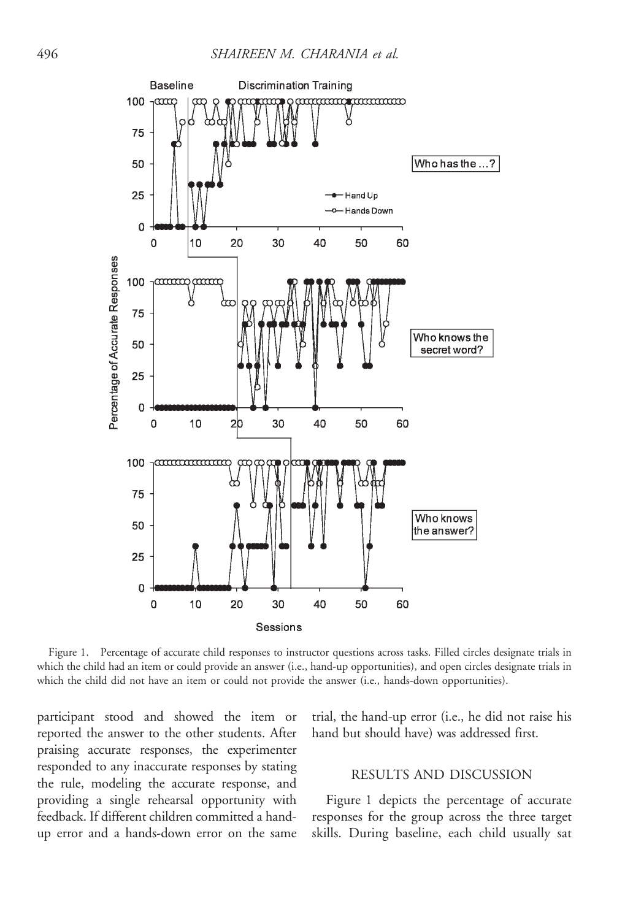

Figure 1. Percentage of accurate child responses to instructor questions across tasks. Filled circles designate trials in which the child had an item or could provide an answer (i.e., hand-up opportunities), and open circles designate trials in which the child did not have an item or could not provide the answer (i.e., hands-down opportunities).

participant stood and showed the item or reported the answer to the other students. After praising accurate responses, the experimenter responded to any inaccurate responses by stating the rule, modeling the accurate response, and providing a single rehearsal opportunity with feedback. If different children committed a handup error and a hands-down error on the same

trial, the hand-up error (i.e., he did not raise his hand but should have) was addressed first.

## RESULTS AND DISCUSSION

Figure 1 depicts the percentage of accurate responses for the group across the three target skills. During baseline, each child usually sat